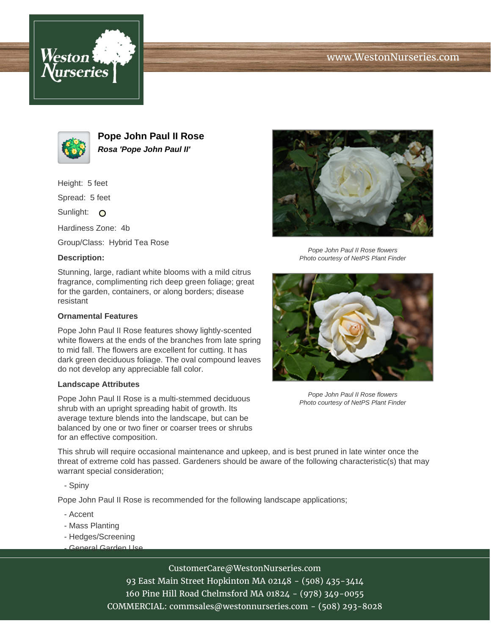





**Pope John Paul II Rose Rosa 'Pope John Paul II'**

Height: 5 feet

Spread: 5 feet

Sunlight: O

Hardiness Zone: 4b

Group/Class: Hybrid Tea Rose

## **Description:**

Stunning, large, radiant white blooms with a mild citrus fragrance, complimenting rich deep green foliage; great for the garden, containers, or along borders; disease resistant

## **Ornamental Features**

Pope John Paul II Rose features showy lightly-scented white flowers at the ends of the branches from late spring to mid fall. The flowers are excellent for cutting. It has dark green deciduous foliage. The oval compound leaves do not develop any appreciable fall color.

#### **Landscape Attributes**

Pope John Paul II Rose is a multi-stemmed deciduous shrub with an upright spreading habit of growth. Its average texture blends into the landscape, but can be balanced by one or two finer or coarser trees or shrubs for an effective composition.



Pope John Paul II Rose flowers Photo courtesy of NetPS Plant Finder



Pope John Paul II Rose flowers Photo courtesy of NetPS Plant Finder

This shrub will require occasional maintenance and upkeep, and is best pruned in late winter once the threat of extreme cold has passed. Gardeners should be aware of the following characteristic(s) that may warrant special consideration;

- Spiny

Pope John Paul II Rose is recommended for the following landscape applications;

- Accent
- Mass Planting
- Hedges/Screening
- General Garden Use

# CustomerCare@WestonNurseries.com

93 East Main Street Hopkinton MA 02148 - (508) 435-3414 160 Pine Hill Road Chelmsford MA 01824 - (978) 349-0055 COMMERCIAL: commsales@westonnurseries.com - (508) 293-8028